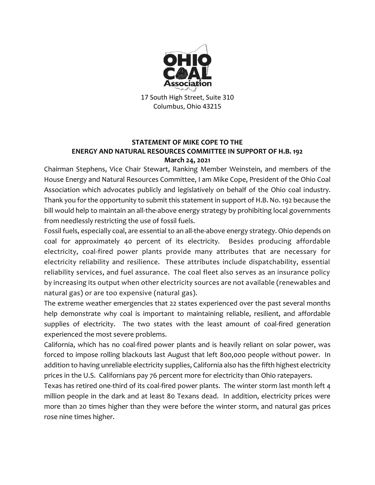

17 South High Street, Suite 310 Columbus, Ohio 43215

## **STATEMENT OF MIKE COPE TO THE ENERGY AND NATURAL RESOURCES COMMITTEE IN SUPPORT OF H.B. 192 March 24, 2021**

Chairman Stephens, Vice Chair Stewart, Ranking Member Weinstein, and members of the House Energy and Natural Resources Committee, I am Mike Cope, President of the Ohio Coal Association which advocates publicly and legislatively on behalf of the Ohio coal industry. Thank you for the opportunity to submit this statement in support of H.B. No. 192 because the bill would help to maintain an all-the-above energy strategy by prohibiting local governments from needlessly restricting the use of fossil fuels.

Fossil fuels, especially coal, are essential to an all-the-above energy strategy. Ohio depends on coal for approximately 40 percent of its electricity. Besides producing affordable electricity, coal-fired power plants provide many attributes that are necessary for electricity reliability and resilience. These attributes include dispatchability, essential reliability services, and fuel assurance. The coal fleet also serves as an insurance policy by increasing its output when other electricity sources are not available (renewables and natural gas) or are too expensive (natural gas).

The extreme weather emergencies that 22 states experienced over the past several months help demonstrate why coal is important to maintaining reliable, resilient, and affordable supplies of electricity. The two states with the least amount of coal-fired generation experienced the most severe problems.

California, which has no coal-fired power plants and is heavily reliant on solar power, was forced to impose rolling blackouts last August that left 800,000 people without power. In addition to having unreliable electricity supplies, California also has the fifth highest electricity prices in the U.S. Californians pay 76 percent more for electricity than Ohio ratepayers.

Texas has retired one-third of its coal-fired power plants. The winter storm last month left 4 million people in the dark and at least 80 Texans dead. In addition, electricity prices were more than 20 times higher than they were before the winter storm, and natural gas prices rose nine times higher.